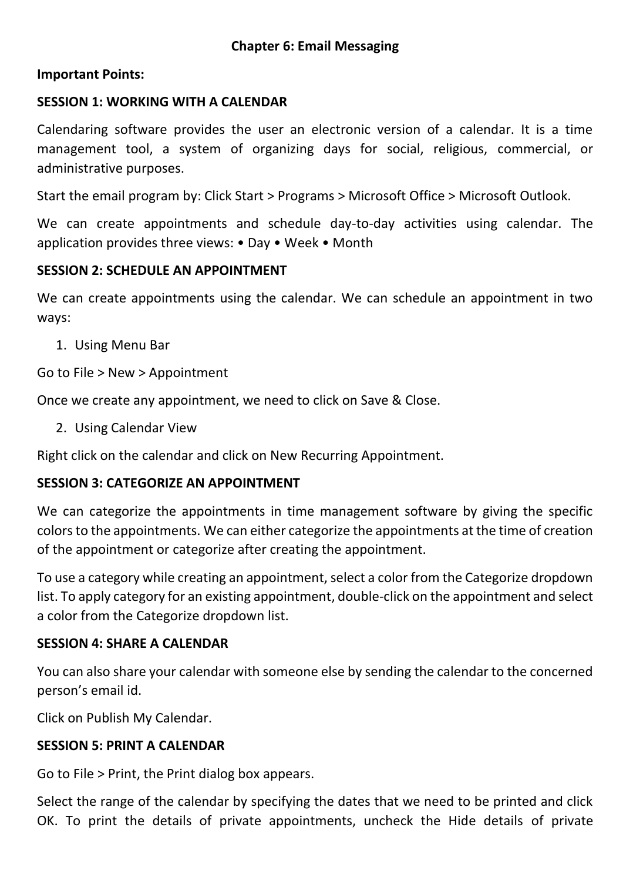#### **Important Points:**

#### **SESSION 1: WORKING WITH A CALENDAR**

Calendaring software provides the user an electronic version of a calendar. It is a time management tool, a system of organizing days for social, religious, commercial, or administrative purposes.

Start the email program by: Click Start > Programs > Microsoft Office > Microsoft Outlook.

We can create appointments and schedule day-to-day activities using calendar. The application provides three views: • Day • Week • Month

#### **SESSION 2: SCHEDULE AN APPOINTMENT**

We can create appointments using the calendar. We can schedule an appointment in two ways:

1. Using Menu Bar

Go to File > New > Appointment

Once we create any appointment, we need to click on Save & Close.

2. Using Calendar View

Right click on the calendar and click on New Recurring Appointment.

#### **SESSION 3: CATEGORIZE AN APPOINTMENT**

We can categorize the appointments in time management software by giving the specific colors to the appointments. We can either categorize the appointments at the time of creation of the appointment or categorize after creating the appointment.

To use a category while creating an appointment, select a color from the Categorize dropdown list. To apply category for an existing appointment, double-click on the appointment and select a color from the Categorize dropdown list.

#### **SESSION 4: SHARE A CALENDAR**

You can also share your calendar with someone else by sending the calendar to the concerned person's email id.

Click on Publish My Calendar.

#### **SESSION 5: PRINT A CALENDAR**

Go to File > Print, the Print dialog box appears.

Select the range of the calendar by specifying the dates that we need to be printed and click OK. To print the details of private appointments, uncheck the Hide details of private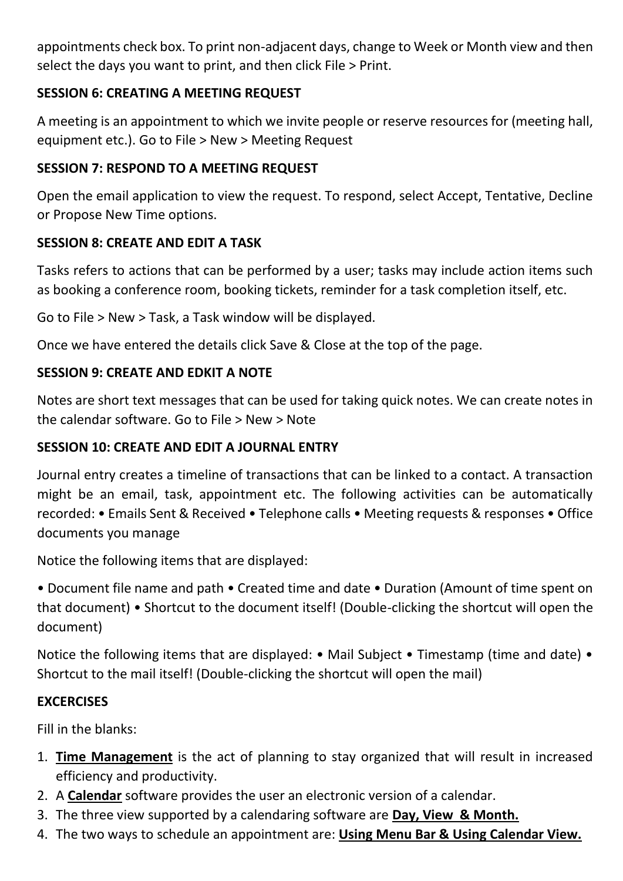appointments check box. To print non-adjacent days, change to Week or Month view and then select the days you want to print, and then click File > Print.

# **SESSION 6: CREATING A MEETING REQUEST**

A meeting is an appointment to which we invite people or reserve resources for (meeting hall, equipment etc.). Go to File > New > Meeting Request

## **SESSION 7: RESPOND TO A MEETING REQUEST**

Open the email application to view the request. To respond, select Accept, Tentative, Decline or Propose New Time options.

# **SESSION 8: CREATE AND EDIT A TASK**

Tasks refers to actions that can be performed by a user; tasks may include action items such as booking a conference room, booking tickets, reminder for a task completion itself, etc.

Go to File > New > Task, a Task window will be displayed.

Once we have entered the details click Save & Close at the top of the page.

### **SESSION 9: CREATE AND EDKIT A NOTE**

Notes are short text messages that can be used for taking quick notes. We can create notes in the calendar software. Go to File > New > Note

### **SESSION 10: CREATE AND EDIT A JOURNAL ENTRY**

Journal entry creates a timeline of transactions that can be linked to a contact. A transaction might be an email, task, appointment etc. The following activities can be automatically recorded: • Emails Sent & Received • Telephone calls • Meeting requests & responses • Office documents you manage

Notice the following items that are displayed:

• Document file name and path • Created time and date • Duration (Amount of time spent on that document) • Shortcut to the document itself! (Double-clicking the shortcut will open the document)

Notice the following items that are displayed: • Mail Subject • Timestamp (time and date) • Shortcut to the mail itself! (Double-clicking the shortcut will open the mail)

### **EXCERCISES**

Fill in the blanks:

- 1. **Time Management** is the act of planning to stay organized that will result in increased efficiency and productivity.
- 2. A **Calendar** software provides the user an electronic version of a calendar.
- 3. The three view supported by a calendaring software are **Day, View & Month.**
- 4. The two ways to schedule an appointment are: **Using Menu Bar & Using Calendar View.**